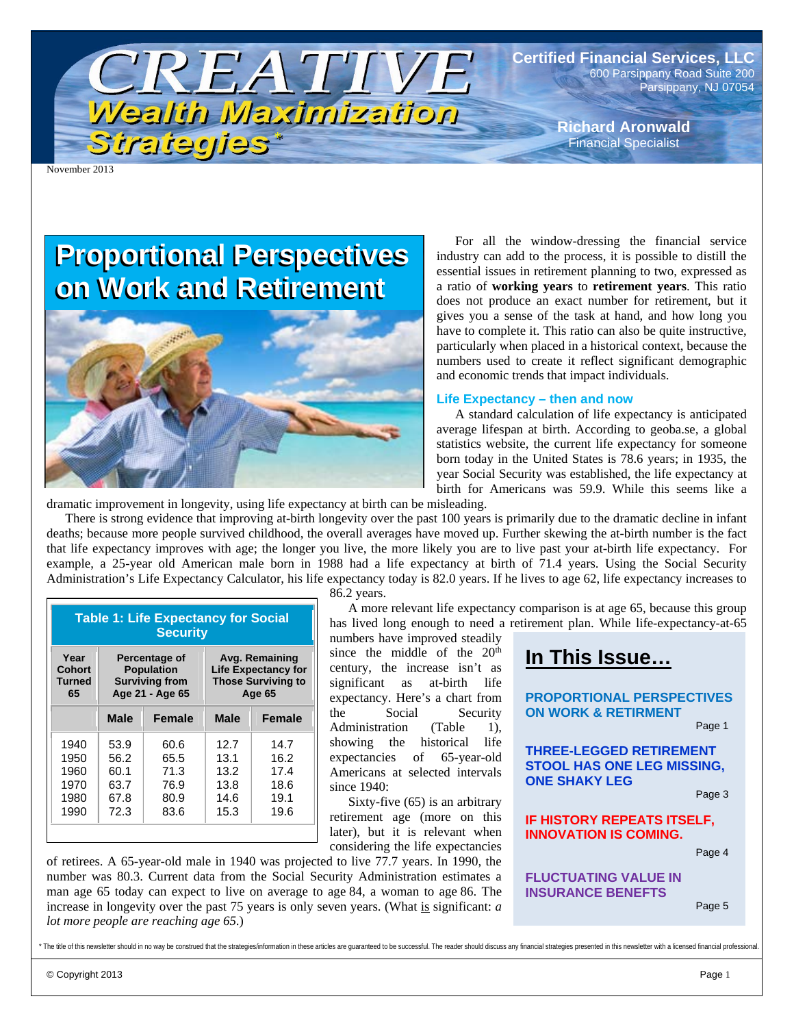

**Certified Financial Services, LLC**  600 Parsippany Road Suite 200 Parsippany, NJ 07054

> **Richard Aronwald**  Financial Specialist

November 2013

## **Proportional Perspectives Proportional Perspectives on Work and Retirement on Work and Retirement**



For all the window-dressing the financial service industry can add to the process, it is possible to distill the essential issues in retirement planning to two, expressed as a ratio of **working years** to **retirement years**. This ratio does not produce an exact number for retirement, but it gives you a sense of the task at hand, and how long you have to complete it. This ratio can also be quite instructive, particularly when placed in a historical context, because the numbers used to create it reflect significant demographic and economic trends that impact individuals.

#### **Life Expectancy – then and now**

A standard calculation of life expectancy is anticipated average lifespan at birth. According to geoba.se, a global statistics website, the current life expectancy for someone born today in the United States is 78.6 years; in 1935, the year Social Security was established, the life expectancy at birth for Americans was 59.9. While this seems like a

dramatic improvement in longevity, using life expectancy at birth can be misleading.

There is strong evidence that improving at-birth longevity over the past 100 years is primarily due to the dramatic decline in infant deaths; because more people survived childhood, the overall averages have moved up. Further skewing the at-birth number is the fact that life expectancy improves with age; the longer you live, the more likely you are to live past your at-birth life expectancy. For example, a 25-year old American male born in 1988 had a life expectancy at birth of 71.4 years. Using the Social Security Administration's Life Expectancy Calculator, his life expectancy today is 82.0 years. If he lives to age 62, life expectancy increases to

| <b>Table 1: Life Expectancy for Social</b><br><b>Security</b> |                       |               |                            |               |  |  |  |
|---------------------------------------------------------------|-----------------------|---------------|----------------------------|---------------|--|--|--|
| Year                                                          | Percentage of         |               | Avg. Remaining             |               |  |  |  |
| <b>Cohort</b>                                                 | <b>Population</b>     |               | <b>Life Expectancy for</b> |               |  |  |  |
| <b>Turned</b>                                                 | <b>Surviving from</b> |               | <b>Those Surviving to</b>  |               |  |  |  |
| 65                                                            | Age 21 - Age 65       |               | Age 65                     |               |  |  |  |
|                                                               | <b>Male</b>           | <b>Female</b> | <b>Male</b>                | <b>Female</b> |  |  |  |
| 1940                                                          | 53.9                  | 60.6          | 12.7                       | 14.7          |  |  |  |
| 1950                                                          | 56.2                  | 65.5          | 13.1                       | 16.2          |  |  |  |
| 1960                                                          | 60.1                  | 71.3          | 13.2                       | 17.4          |  |  |  |
| 1970                                                          | 63.7                  | 76.9          | 13.8                       | 18.6          |  |  |  |
| 1980                                                          | 67.8                  | 80.9          | 14.6                       | 19.1          |  |  |  |
| 1990                                                          | 72.3                  | 83.6          | 15.3                       | 19.6          |  |  |  |

86.2 years.

A more relevant life expectancy comparison is at age 65, because this group has lived long enough to need a retirement plan. While life-expectancy-at-65

numbers have improved steadily since the middle of the  $20<sup>th</sup>$ century, the increase isn't as significant as at-birth life expectancy. Here's a chart from the Social Security Administration (Table 1), showing the historical life expectancies of 65-year-old Americans at selected intervals since 1940:

Sixty-five (65) is an arbitrary retirement age (more on this later), but it is relevant when considering the life expectancies

of retirees. A 65-year-old male in 1940 was projected to live 77.7 years. In 1990, the number was 80.3. Current data from the Social Security Administration estimates a man age 65 today can expect to live on average to age 84, a woman to age 86. The increase in longevity over the past 75 years is only seven years. (What is significant: *a lot more people are reaching age 65*.)



**INSURANCE BENEFTS** 

Page 5

The title of this newsletter should in no way be construed that the strategies/information in these articles are quaranteed to be successful. The reader should discuss any financial strategies presented in this newsletter

© Copyright 2013 Page 1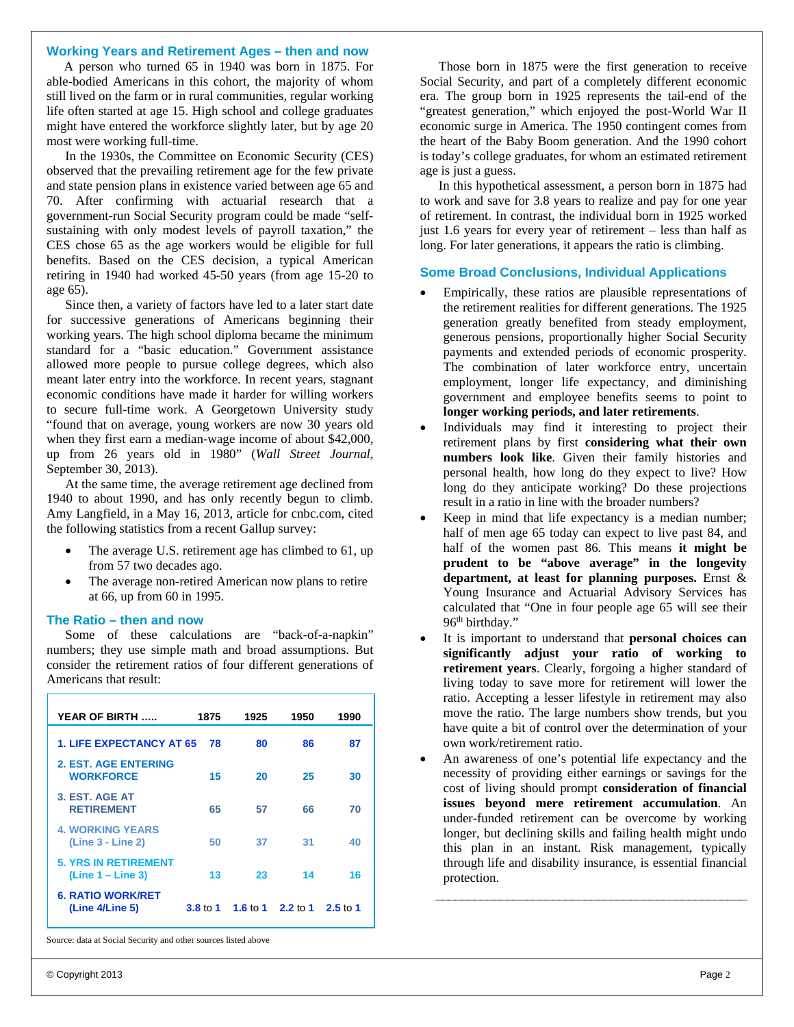#### **Working Years and Retirement Ages – then and now**

 A person who turned 65 in 1940 was born in 1875. For able-bodied Americans in this cohort, the majority of whom still lived on the farm or in rural communities, regular working life often started at age 15. High school and college graduates might have entered the workforce slightly later, but by age 20 most were working full-time.

In the 1930s, the Committee on Economic Security (CES) observed that the prevailing retirement age for the few private and state pension plans in existence varied between age 65 and 70. After confirming with actuarial research that a government-run Social Security program could be made "selfsustaining with only modest levels of payroll taxation," the CES chose 65 as the age workers would be eligible for full benefits. Based on the CES decision, a typical American retiring in 1940 had worked 45-50 years (from age 15-20 to age 65).

Since then, a variety of factors have led to a later start date for successive generations of Americans beginning their working years. The high school diploma became the minimum standard for a "basic education." Government assistance allowed more people to pursue college degrees, which also meant later entry into the workforce. In recent years, stagnant economic conditions have made it harder for willing workers to secure full-time work. A Georgetown University study "found that on average, young workers are now 30 years old when they first earn a median-wage income of about \$42,000, up from 26 years old in 1980" (*Wall Street Journal*, September 30, 2013).

At the same time, the average retirement age declined from 1940 to about 1990, and has only recently begun to climb. Amy Langfield, in a May 16, 2013, article for cnbc.com, cited the following statistics from a recent Gallup survey:

- The average U.S. retirement age has climbed to 61, up from 57 two decades ago.
- The average non-retired American now plans to retire at 66, up from 60 in 1995.

#### **The Ratio – then and now**

Some of these calculations are "back-of-a-napkin" numbers; they use simple math and broad assumptions. But consider the retirement ratios of four different generations of Americans that result:

| YEAR OF BIRTH                                      | 1875                | 1925              | 1950 | 1990       |
|----------------------------------------------------|---------------------|-------------------|------|------------|
| <b>1. LIFE EXPECTANCY AT 65</b>                    | 78                  | 80                | 86   | 87         |
| 2. EST. AGE ENTERING<br><b>WORKFORCE</b>           | 15                  | 20                | 25   | 30         |
| 3. EST. AGE AT<br><b>RETIREMENT</b>                | 65                  | 57                | 66   | 70         |
| <b>4. WORKING YEARS</b><br>(Line 3 - Line 2)       | 50                  | 37                | 31   | 40         |
| <b>5. YRS IN RETIREMENT</b><br>$(Line 1 - Line 3)$ | 13                  | 23                | 14   | 16         |
| <b>6. RATIO WORK/RET</b><br>(Line 4/Line 5)        | $3.8 \text{ to } 1$ | 1.6 to 1 2.2 to 1 |      | $2.5$ to 1 |

Source: data at Social Security and other sources listed above

Those born in 1875 were the first generation to receive Social Security, and part of a completely different economic era. The group born in 1925 represents the tail-end of the "greatest generation," which enjoyed the post-World War II economic surge in America. The 1950 contingent comes from the heart of the Baby Boom generation. And the 1990 cohort is today's college graduates, for whom an estimated retirement age is just a guess.

In this hypothetical assessment, a person born in 1875 had to work and save for 3.8 years to realize and pay for one year of retirement. In contrast, the individual born in 1925 worked just 1.6 years for every year of retirement – less than half as long. For later generations, it appears the ratio is climbing.

#### **Some Broad Conclusions, Individual Applications**

- Empirically, these ratios are plausible representations of the retirement realities for different generations. The 1925 generation greatly benefited from steady employment, generous pensions, proportionally higher Social Security payments and extended periods of economic prosperity. The combination of later workforce entry, uncertain employment, longer life expectancy, and diminishing government and employee benefits seems to point to **longer working periods, and later retirements**.
- Individuals may find it interesting to project their retirement plans by first **considering what their own numbers look like**. Given their family histories and personal health, how long do they expect to live? How long do they anticipate working? Do these projections result in a ratio in line with the broader numbers?
- Keep in mind that life expectancy is a median number; half of men age 65 today can expect to live past 84, and half of the women past 86. This means **it might be prudent to be "above average" in the longevity department, at least for planning purposes.** Ernst & Young Insurance and Actuarial Advisory Services has calculated that "One in four people age 65 will see their 96<sup>th</sup> birthday."
- It is important to understand that **personal choices can significantly adjust your ratio of working to retirement years**. Clearly, forgoing a higher standard of living today to save more for retirement will lower the ratio. Accepting a lesser lifestyle in retirement may also move the ratio. The large numbers show trends, but you have quite a bit of control over the determination of your own work/retirement ratio.
- An awareness of one's potential life expectancy and the necessity of providing either earnings or savings for the cost of living should prompt **consideration of financial issues beyond mere retirement accumulation**. An under-funded retirement can be overcome by working longer, but declining skills and failing health might undo this plan in an instant. Risk management, typically through life and disability insurance, is essential financial protection.

\_\_\_\_\_\_\_\_\_\_\_\_\_\_\_\_\_\_\_\_\_\_\_\_\_\_\_\_\_\_\_\_\_\_\_\_\_\_\_\_\_\_\_\_\_\_\_\_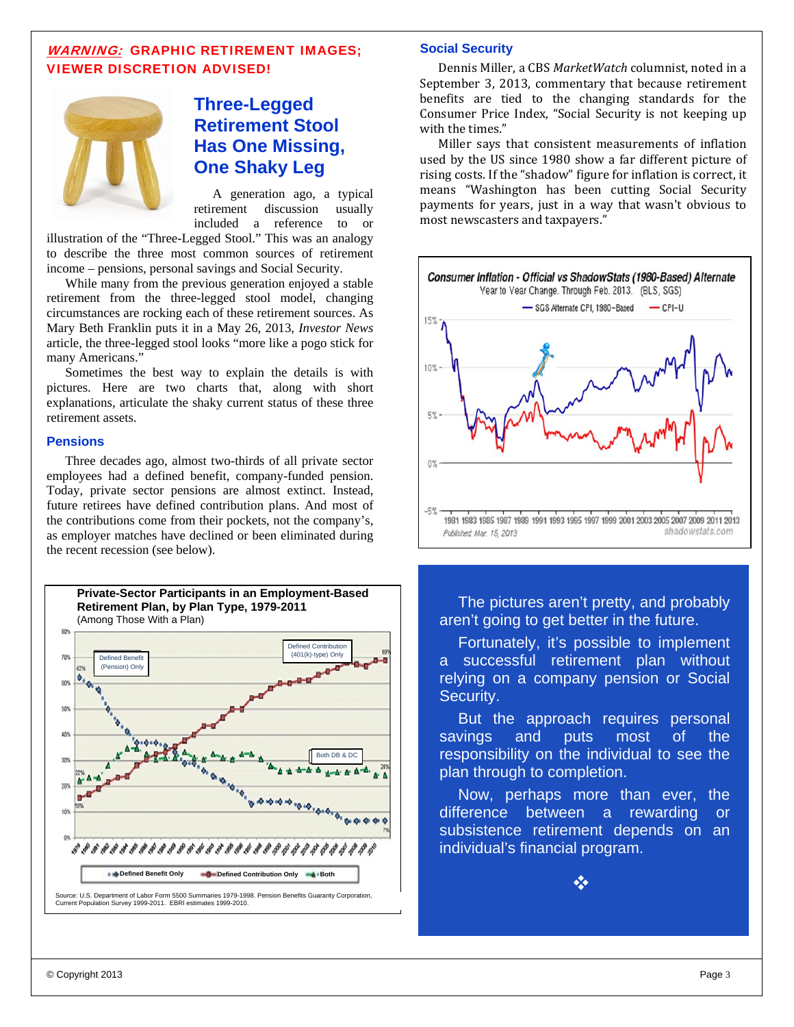#### WARNING: GRAPHIC RETIREMENT IMAGES; VIEWER DISCRETION ADVISED!



## **Three-Legged Retirement Stool Has One Missing, One Shaky Leg**

A generation ago, a typical retirement discussion usually included a reference to or

illustration of the "Three-Legged Stool." This was an analogy to describe the three most common sources of retirement income – pensions, personal savings and Social Security.

While many from the previous generation enjoyed a stable retirement from the three-legged stool model, changing circumstances are rocking each of these retirement sources. As Mary Beth Franklin puts it in a May 26, 2013, *Investor News* article, the three-legged stool looks "more like a pogo stick for many Americans."

Sometimes the best way to explain the details is with pictures. Here are two charts that, along with short explanations, articulate the shaky current status of these three retirement assets.

#### **Pensions**

Three decades ago, almost two-thirds of all private sector employees had a defined benefit, company-funded pension. Today, private sector pensions are almost extinct. Instead, future retirees have defined contribution plans. And most of the contributions come from their pockets, not the company's, as employer matches have declined or been eliminated during the recent recession (see below).



#### **Social Security**

Dennis Miller, a CBS MarketWatch columnist, noted in a September 3, 2013, commentary that because retirement benefits are tied to the changing standards for the Consumer Price Index, "Social Security is not keeping up with the times."

Miller says that consistent measurements of inflation used by the US since 1980 show a far different picture of rising costs. If the "shadow" figure for inflation is correct, it means "Washington has been cutting Social Security payments for years, just in a way that wasn't obvious to most newscasters and taxpayers."



The pictures aren't pretty, and probably aren't going to get better in the future.

Fortunately, it's possible to implement a successful retirement plan without relying on a company pension or Social Security.

But the approach requires personal savings and puts most of the responsibility on the individual to see the plan through to completion.

Now, perhaps more than ever, the difference between a rewarding or subsistence retirement depends on an individual's financial program.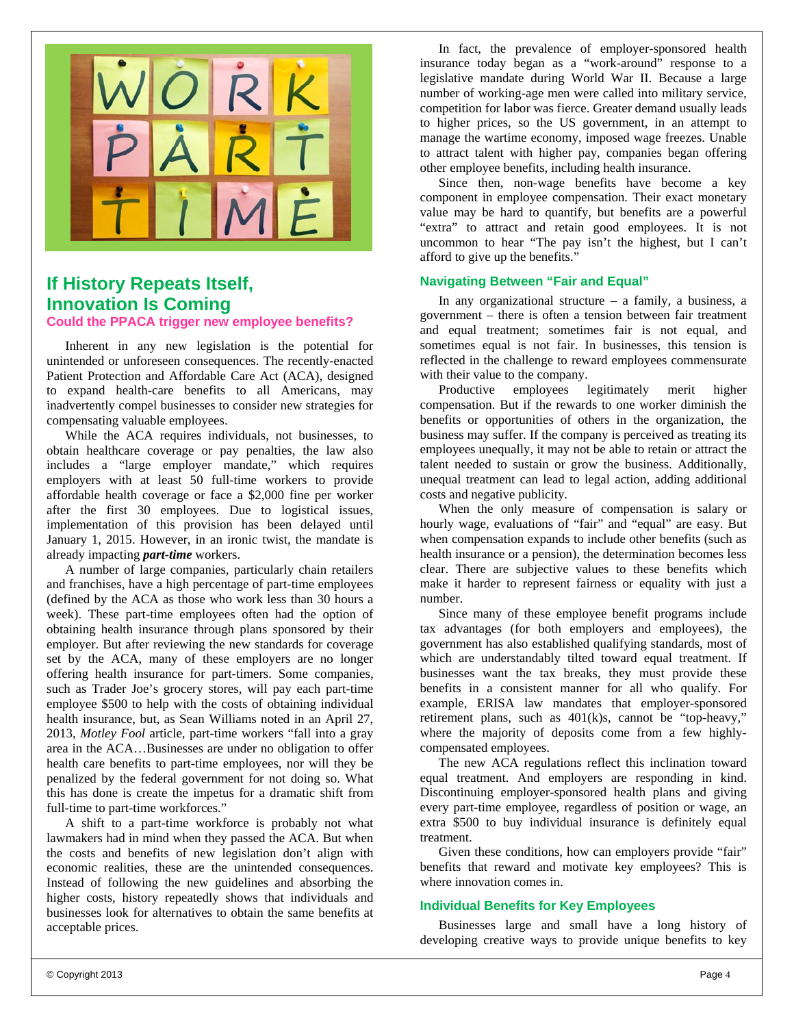

## **If History Repeats Itself, Innovation Is Coming**

**Could the PPACA trigger new employee benefits?** 

Inherent in any new legislation is the potential for unintended or unforeseen consequences. The recently-enacted Patient Protection and Affordable Care Act (ACA), designed to expand health-care benefits to all Americans, may inadvertently compel businesses to consider new strategies for compensating valuable employees.

While the ACA requires individuals, not businesses, to obtain healthcare coverage or pay penalties, the law also includes a "large employer mandate," which requires employers with at least 50 full-time workers to provide affordable health coverage or face a \$2,000 fine per worker after the first 30 employees. Due to logistical issues, implementation of this provision has been delayed until January 1, 2015. However, in an ironic twist, the mandate is already impacting *part-time* workers.

A number of large companies, particularly chain retailers and franchises, have a high percentage of part-time employees (defined by the ACA as those who work less than 30 hours a week). These part-time employees often had the option of obtaining health insurance through plans sponsored by their employer. But after reviewing the new standards for coverage set by the ACA, many of these employers are no longer offering health insurance for part-timers. Some companies, such as Trader Joe's grocery stores, will pay each part-time employee \$500 to help with the costs of obtaining individual health insurance, but, as Sean Williams noted in an April 27, 2013, *Motley Fool* article, part-time workers "fall into a gray area in the ACA…Businesses are under no obligation to offer health care benefits to part-time employees, nor will they be penalized by the federal government for not doing so. What this has done is create the impetus for a dramatic shift from full-time to part-time workforces."

A shift to a part-time workforce is probably not what lawmakers had in mind when they passed the ACA. But when the costs and benefits of new legislation don't align with economic realities, these are the unintended consequences. Instead of following the new guidelines and absorbing the higher costs, history repeatedly shows that individuals and businesses look for alternatives to obtain the same benefits at acceptable prices.

In fact, the prevalence of employer-sponsored health insurance today began as a "work-around" response to a legislative mandate during World War II. Because a large number of working-age men were called into military service, competition for labor was fierce. Greater demand usually leads to higher prices, so the US government, in an attempt to manage the wartime economy, imposed wage freezes. Unable to attract talent with higher pay, companies began offering other employee benefits, including health insurance.

Since then, non-wage benefits have become a key component in employee compensation. Their exact monetary value may be hard to quantify, but benefits are a powerful "extra" to attract and retain good employees. It is not uncommon to hear "The pay isn't the highest, but I can't afford to give up the benefits."

#### **Navigating Between "Fair and Equal"**

In any organizational structure  $-$  a family, a business, a government – there is often a tension between fair treatment and equal treatment; sometimes fair is not equal, and sometimes equal is not fair. In businesses, this tension is reflected in the challenge to reward employees commensurate with their value to the company.

Productive employees legitimately merit higher compensation. But if the rewards to one worker diminish the benefits or opportunities of others in the organization, the business may suffer. If the company is perceived as treating its employees unequally, it may not be able to retain or attract the talent needed to sustain or grow the business. Additionally, unequal treatment can lead to legal action, adding additional costs and negative publicity.

When the only measure of compensation is salary or hourly wage, evaluations of "fair" and "equal" are easy. But when compensation expands to include other benefits (such as health insurance or a pension), the determination becomes less clear. There are subjective values to these benefits which make it harder to represent fairness or equality with just a number.

Since many of these employee benefit programs include tax advantages (for both employers and employees), the government has also established qualifying standards, most of which are understandably tilted toward equal treatment. If businesses want the tax breaks, they must provide these benefits in a consistent manner for all who qualify. For example, ERISA law mandates that employer-sponsored retirement plans, such as  $401(k)s$ , cannot be "top-heavy," where the majority of deposits come from a few highlycompensated employees.

The new ACA regulations reflect this inclination toward equal treatment. And employers are responding in kind. Discontinuing employer-sponsored health plans and giving every part-time employee, regardless of position or wage, an extra \$500 to buy individual insurance is definitely equal treatment.

Given these conditions, how can employers provide "fair" benefits that reward and motivate key employees? This is where innovation comes in.

#### **Individual Benefits for Key Employees**

Businesses large and small have a long history of developing creative ways to provide unique benefits to key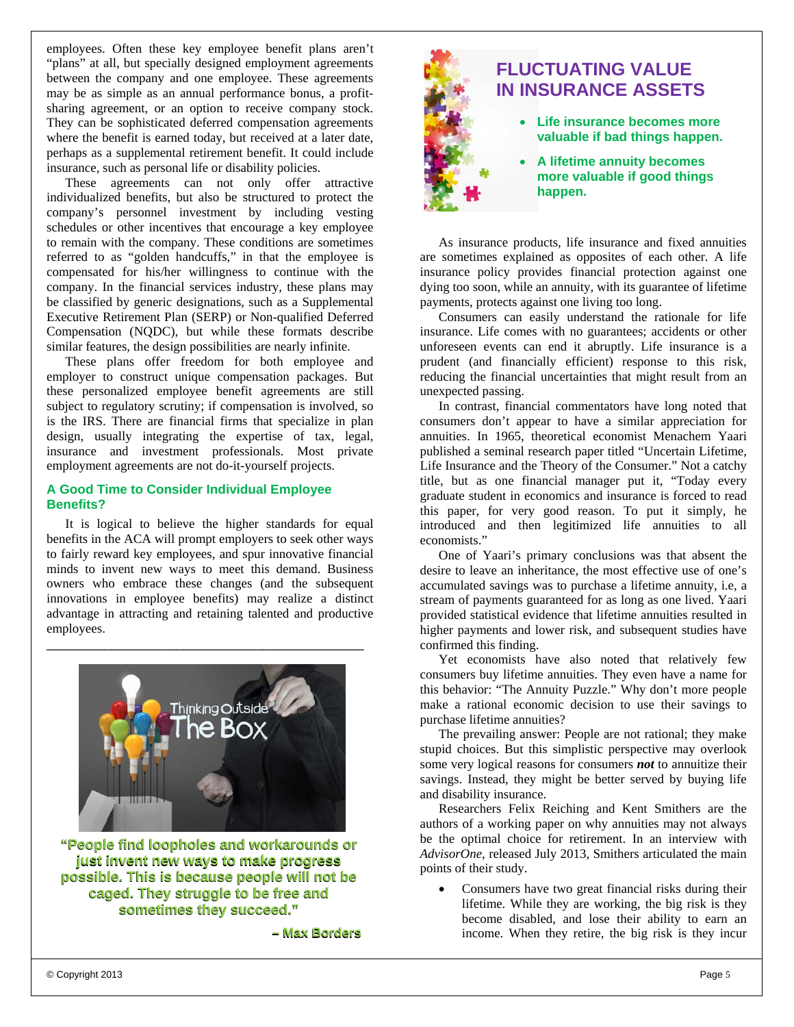employees. Often these key employee benefit plans aren't "plans" at all, but specially designed employment agreements between the company and one employee. These agreements may be as simple as an annual performance bonus, a profitsharing agreement, or an option to receive company stock. They can be sophisticated deferred compensation agreements where the benefit is earned today, but received at a later date, perhaps as a supplemental retirement benefit. It could include insurance, such as personal life or disability policies.

These agreements can not only offer attractive individualized benefits, but also be structured to protect the company's personnel investment by including vesting schedules or other incentives that encourage a key employee to remain with the company. These conditions are sometimes referred to as "golden handcuffs," in that the employee is compensated for his/her willingness to continue with the company. In the financial services industry, these plans may be classified by generic designations, such as a Supplemental Executive Retirement Plan (SERP) or Non-qualified Deferred Compensation (NQDC), but while these formats describe similar features, the design possibilities are nearly infinite.

These plans offer freedom for both employee and employer to construct unique compensation packages. But these personalized employee benefit agreements are still subject to regulatory scrutiny; if compensation is involved, so is the IRS. There are financial firms that specialize in plan design, usually integrating the expertise of tax, legal, insurance and investment professionals. Most private employment agreements are not do-it-yourself projects.

#### **A Good Time to Consider Individual Employee Benefits?**

It is logical to believe the higher standards for equal benefits in the ACA will prompt employers to seek other ways to fairly reward key employees, and spur innovative financial minds to invent new ways to meet this demand. Business owners who embrace these changes (and the subsequent innovations in employee benefits) may realize a distinct advantage in attracting and retaining talented and productive employees.

\_\_\_\_\_\_\_\_\_\_\_\_\_\_\_\_\_\_\_\_\_\_\_\_\_\_\_\_\_\_\_\_\_\_\_\_\_\_\_\_\_\_\_\_



**"People find loopholes and workarounds or "People find and workarounds or just invent new ways to make progress just invent new ways to make progress possible. This is because people will not be possible. This is because people will not be caged. They struggle to be free and caged. They struggle to sometimes they succeed." sometimes they succeed."** 

**– Max Borders**



# **IN INSURANCE ASSETS**

- **Life insurance becomes more valuable if bad things happen.**
- **A lifetime annuity becomes more valuable if good things happen.**

As insurance products, life insurance and fixed annuities are sometimes explained as opposites of each other. A life insurance policy provides financial protection against one dying too soon, while an annuity, with its guarantee of lifetime payments, protects against one living too long.

Consumers can easily understand the rationale for life insurance. Life comes with no guarantees; accidents or other unforeseen events can end it abruptly. Life insurance is a prudent (and financially efficient) response to this risk, reducing the financial uncertainties that might result from an unexpected passing.

In contrast, financial commentators have long noted that consumers don't appear to have a similar appreciation for annuities. In 1965, theoretical economist Menachem Yaari published a seminal research paper titled "Uncertain Lifetime, Life Insurance and the Theory of the Consumer." Not a catchy title, but as one financial manager put it, "Today every graduate student in economics and insurance is forced to read this paper, for very good reason. To put it simply, he introduced and then legitimized life annuities to all economists." ment agreement is the state of the state of the state of the state of the state of the state of the state of the state of the state of the state of the state of the state of the state of the state of the state of the state

One of Yaari's primary conclusions was that absent the desire to leave an inheritance, the most effective use of one's accumulated savings was to purchase a lifetime annuity, i.e, a stream of payments guaranteed for as long as one lived. Yaari provided statistical evidence that lifetime annuities resulted in higher payments and lower risk, and subsequent studies have confirmed this finding.

Yet economists have also noted that relatively few consumers buy lifetime annuities. They even have a name for this behavior: "The Annuity Puzzle." Why don't more people make a rational economic decision to use their savings to purchase lifetime annuities?

The prevailing answer: People are not rational; they make stupid choices. But this simplistic perspective may overlook some very logical reasons for consumers *not* to annuitize their savings. Instead, they might be better served by buying life and disability insurance.

Researchers Felix Reiching and Kent Smithers are the authors of a working paper on why annuities may not always be the optimal choice for retirement. In an interview with *AdvisorOne*, released July 2013, Smithers articulated the main points of their study.

 Consumers have two great financial risks during their lifetime. While they are working, the big risk is they become disabled, and lose their ability to earn an income. When they retire, the big risk is they incur